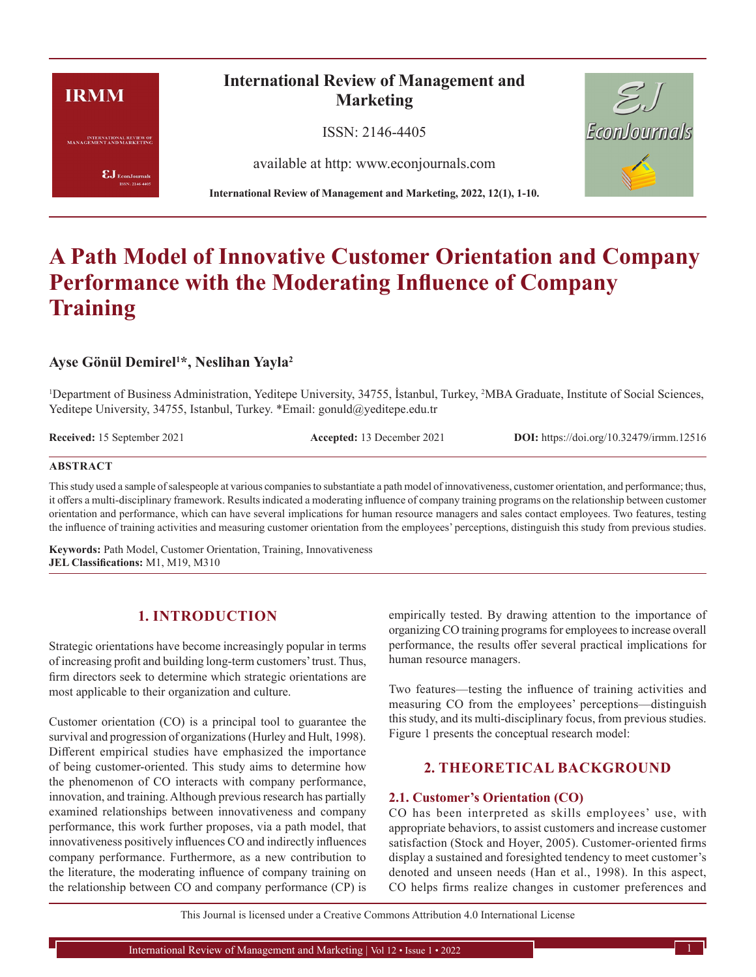# **IRMM**

**INTERNATIONAL REVIEW OF**<br>MANAGEMENT AND MARKETING

 $\pmb{\text{EJ}}$ EconJournals SSN: 2146-4405

## **International Review of Management and Marketing**

ISSN: 2146-4405

available at http: www.econjournals.com

**International Review of Management and Marketing, 2022, 12(1), 1-10.**



# **A Path Model of Innovative Customer Orientation and Company Performance with the Moderating Influence of Company Training**

## **Ayse Gönül Demirel1 \*, Neslihan Yayla2**

<sup>1</sup>Department of Business Administration, Yeditepe University, 34755, İstanbul, Turkey, <sup>2</sup>MBA Graduate, Institute of Social Sciences, Yeditepe University, 34755, Istanbul, Turkey. \*Email: gonuld@yeditepe.edu.tr

**Received:** 15 September 2021 **Accepted:** 13 December 2021 **DOI:** https://doi.org/10.32479/irmm.12516

#### **ABSTRACT**

This study used a sample of salespeople at various companies to substantiate a path model of innovativeness, customer orientation, and performance; thus, it offers a multi-disciplinary framework. Results indicated a moderating influence of company training programs on the relationship between customer orientation and performance, which can have several implications for human resource managers and sales contact employees. Two features, testing the influence of training activities and measuring customer orientation from the employees' perceptions, distinguish this study from previous studies.

**Keywords:** Path Model, Customer Orientation, Training, Innovativeness **JEL Classifications:** M1, M19, M310

## **1. INTRODUCTION**

Strategic orientations have become increasingly popular in terms of increasing profit and building long-term customers' trust. Thus, firm directors seek to determine which strategic orientations are most applicable to their organization and culture.

Customer orientation (CO) is a principal tool to guarantee the survival and progression of organizations (Hurley and Hult, 1998). Different empirical studies have emphasized the importance of being customer-oriented. This study aims to determine how the phenomenon of CO interacts with company performance, innovation, and training. Although previous research has partially examined relationships between innovativeness and company performance, this work further proposes, via a path model, that innovativeness positively influences CO and indirectly influences company performance. Furthermore, as a new contribution to the literature, the moderating influence of company training on the relationship between CO and company performance (CP) is

empirically tested. By drawing attention to the importance of organizing CO training programs for employees to increase overall performance, the results offer several practical implications for human resource managers.

Two features—testing the influence of training activities and measuring CO from the employees' perceptions—distinguish this study, and its multi-disciplinary focus, from previous studies. Figure 1 presents the conceptual research model:

## **2. THEORETICAL BACKGROUND**

#### **2.1. Customer's Orientation (CO)**

CO has been interpreted as skills employees' use, with appropriate behaviors, to assist customers and increase customer satisfaction (Stock and Hoyer, 2005). Customer-oriented firms display a sustained and foresighted tendency to meet customer's denoted and unseen needs (Han et al., 1998). In this aspect, CO helps firms realize changes in customer preferences and

This Journal is licensed under a Creative Commons Attribution 4.0 International License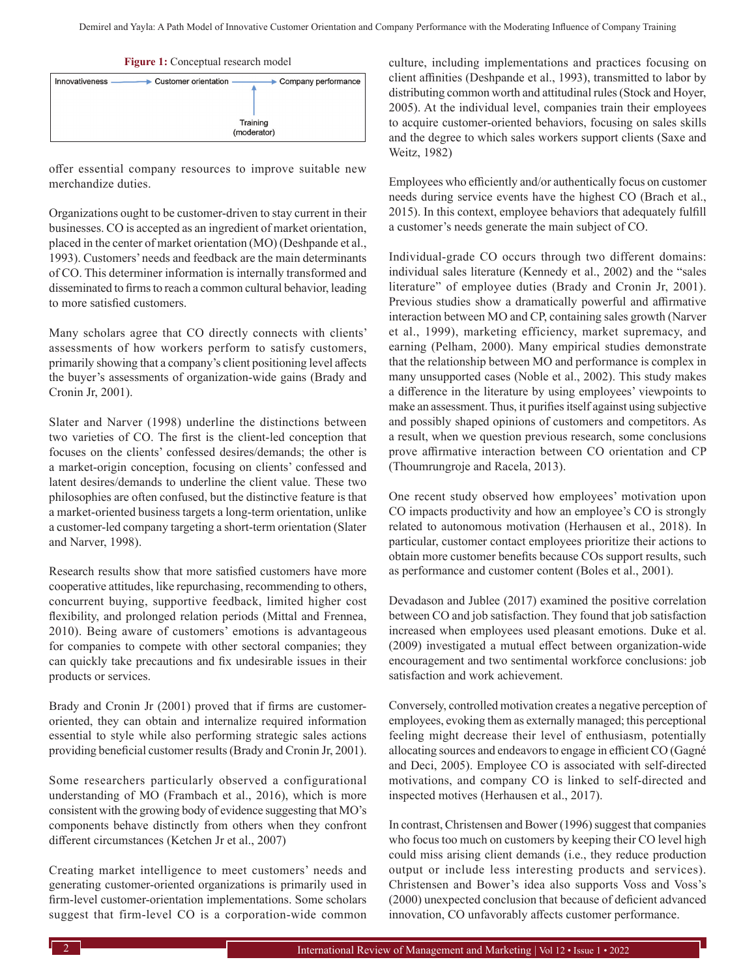**Figure 1:** Conceptual research model



offer essential company resources to improve suitable new merchandize duties.

Organizations ought to be customer-driven to stay current in their businesses. CO is accepted as an ingredient of market orientation, placed in the center of market orientation (MO) (Deshpande et al., 1993). Customers' needs and feedback are the main determinants of CO. This determiner information is internally transformed and disseminated to firms to reach a common cultural behavior, leading to more satisfied customers.

Many scholars agree that CO directly connects with clients' assessments of how workers perform to satisfy customers, primarily showing that a company's client positioning level affects the buyer's assessments of organization-wide gains (Brady and Cronin Jr, 2001).

Slater and Narver (1998) underline the distinctions between two varieties of CO. The first is the client-led conception that focuses on the clients' confessed desires/demands; the other is a market-origin conception, focusing on clients' confessed and latent desires/demands to underline the client value. These two philosophies are often confused, but the distinctive feature is that a market-oriented business targets a long-term orientation, unlike a customer-led company targeting a short-term orientation (Slater and Narver, 1998).

Research results show that more satisfied customers have more cooperative attitudes, like repurchasing, recommending to others, concurrent buying, supportive feedback, limited higher cost flexibility, and prolonged relation periods (Mittal and Frennea, 2010). Being aware of customers' emotions is advantageous for companies to compete with other sectoral companies; they can quickly take precautions and fix undesirable issues in their products or services.

Brady and Cronin Jr (2001) proved that if firms are customeroriented, they can obtain and internalize required information essential to style while also performing strategic sales actions providing beneficial customer results (Brady and Cronin Jr, 2001).

Some researchers particularly observed a configurational understanding of MO (Frambach et al., 2016), which is more consistent with the growing body of evidence suggesting that MO's components behave distinctly from others when they confront different circumstances (Ketchen Jr et al., 2007)

Creating market intelligence to meet customers' needs and generating customer-oriented organizations is primarily used in firm-level customer-orientation implementations. Some scholars suggest that firm-level CO is a corporation-wide common culture, including implementations and practices focusing on client affinities (Deshpande et al., 1993), transmitted to labor by distributing common worth and attitudinal rules (Stock and Hoyer, 2005). At the individual level, companies train their employees to acquire customer-oriented behaviors, focusing on sales skills and the degree to which sales workers support clients (Saxe and Weitz, 1982)

Employees who efficiently and/or authentically focus on customer needs during service events have the highest CO (Brach et al., 2015). In this context, employee behaviors that adequately fulfill a customer's needs generate the main subject of CO.

Individual-grade CO occurs through two different domains: individual sales literature (Kennedy et al., 2002) and the "sales literature" of employee duties (Brady and Cronin Jr, 2001). Previous studies show a dramatically powerful and affirmative interaction between MO and CP, containing sales growth (Narver et al., 1999), marketing efficiency, market supremacy, and earning (Pelham, 2000). Many empirical studies demonstrate that the relationship between MO and performance is complex in many unsupported cases (Noble et al., 2002). This study makes a difference in the literature by using employees' viewpoints to make an assessment. Thus, it purifies itself against using subjective and possibly shaped opinions of customers and competitors. As a result, when we question previous research, some conclusions prove affirmative interaction between CO orientation and CP (Thoumrungroje and Racela, 2013).

One recent study observed how employees' motivation upon CO impacts productivity and how an employee's CO is strongly related to autonomous motivation (Herhausen et al., 2018). In particular, customer contact employees prioritize their actions to obtain more customer benefits because COs support results, such as performance and customer content (Boles et al., 2001).

Devadason and Jublee (2017) examined the positive correlation between CO and job satisfaction. They found that job satisfaction increased when employees used pleasant emotions. Duke et al. (2009) investigated a mutual effect between organization-wide encouragement and two sentimental workforce conclusions: job satisfaction and work achievement.

Conversely, controlled motivation creates a negative perception of employees, evoking them as externally managed; this perceptional feeling might decrease their level of enthusiasm, potentially allocating sources and endeavors to engage in efficient CO (Gagné and Deci, 2005). Employee CO is associated with self-directed motivations, and company CO is linked to self-directed and inspected motives (Herhausen et al., 2017).

In contrast, Christensen and Bower (1996) suggest that companies who focus too much on customers by keeping their CO level high could miss arising client demands (i.e., they reduce production output or include less interesting products and services). Christensen and Bower's idea also supports Voss and Voss's (2000) unexpected conclusion that because of deficient advanced innovation, CO unfavorably affects customer performance.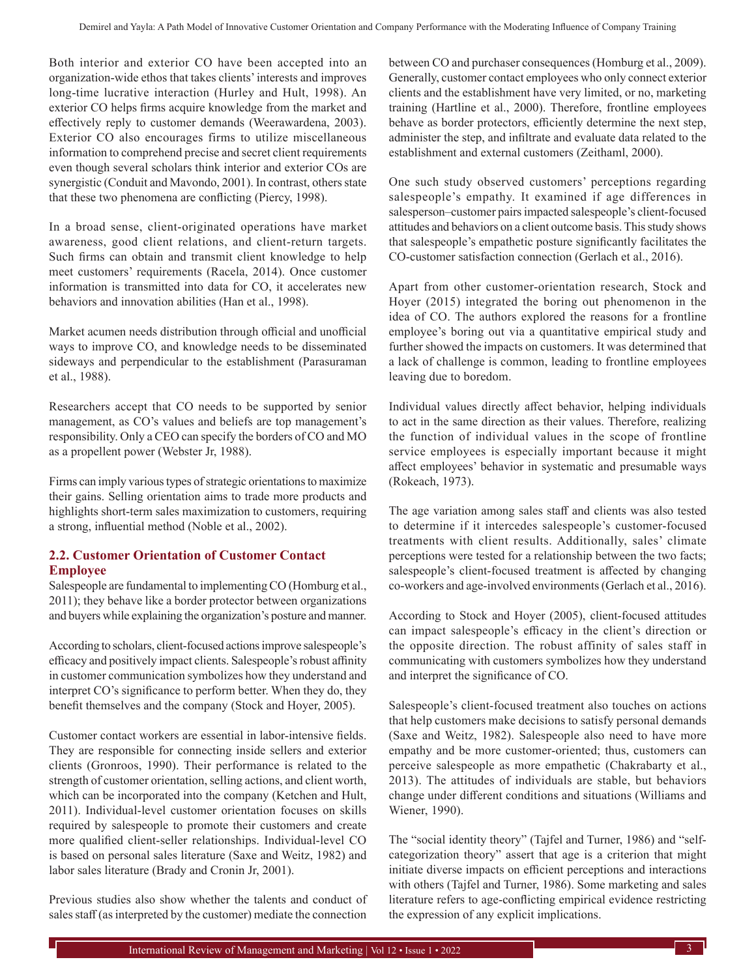Both interior and exterior CO have been accepted into an organization-wide ethos that takes clients' interests and improves long-time lucrative interaction (Hurley and Hult, 1998). An exterior CO helps firms acquire knowledge from the market and effectively reply to customer demands (Weerawardena, 2003). Exterior CO also encourages firms to utilize miscellaneous information to comprehend precise and secret client requirements even though several scholars think interior and exterior COs are synergistic (Conduit and Mavondo, 2001). In contrast, others state that these two phenomena are conflicting (Piercy, 1998).

In a broad sense, client-originated operations have market awareness, good client relations, and client-return targets. Such firms can obtain and transmit client knowledge to help meet customers' requirements (Racela, 2014). Once customer information is transmitted into data for CO, it accelerates new behaviors and innovation abilities (Han et al., 1998).

Market acumen needs distribution through official and unofficial ways to improve CO, and knowledge needs to be disseminated sideways and perpendicular to the establishment (Parasuraman et al., 1988).

Researchers accept that CO needs to be supported by senior management, as CO's values and beliefs are top management's responsibility. Only a CEO can specify the borders of CO and MO as a propellent power (Webster Jr, 1988).

Firms can imply various types of strategic orientations to maximize their gains. Selling orientation aims to trade more products and highlights short-term sales maximization to customers, requiring a strong, influential method (Noble et al., 2002).

## **2.2. Customer Orientation of Customer Contact Employee**

Salespeople are fundamental to implementing CO (Homburg et al., 2011); they behave like a border protector between organizations and buyers while explaining the organization's posture and manner.

According to scholars, client-focused actions improve salespeople's efficacy and positively impact clients. Salespeople's robust affinity in customer communication symbolizes how they understand and interpret CO's significance to perform better. When they do, they benefit themselves and the company (Stock and Hoyer, 2005).

Customer contact workers are essential in labor-intensive fields. They are responsible for connecting inside sellers and exterior clients (Gronroos, 1990). Their performance is related to the strength of customer orientation, selling actions, and client worth, which can be incorporated into the company (Ketchen and Hult, 2011). Individual-level customer orientation focuses on skills required by salespeople to promote their customers and create more qualified client-seller relationships. Individual-level CO is based on personal sales literature (Saxe and Weitz, 1982) and labor sales literature (Brady and Cronin Jr, 2001).

Previous studies also show whether the talents and conduct of sales staff (as interpreted by the customer) mediate the connection

between CO and purchaser consequences (Homburg et al., 2009). Generally, customer contact employees who only connect exterior clients and the establishment have very limited, or no, marketing training (Hartline et al., 2000). Therefore, frontline employees behave as border protectors, efficiently determine the next step, administer the step, and infiltrate and evaluate data related to the establishment and external customers (Zeithaml, 2000).

One such study observed customers' perceptions regarding salespeople's empathy. It examined if age differences in salesperson–customer pairs impacted salespeople's client-focused attitudes and behaviors on a client outcome basis. This study shows that salespeople's empathetic posture significantly facilitates the CO-customer satisfaction connection (Gerlach et al., 2016).

Apart from other customer-orientation research, Stock and Hoyer (2015) integrated the boring out phenomenon in the idea of CO. The authors explored the reasons for a frontline employee's boring out via a quantitative empirical study and further showed the impacts on customers. It was determined that a lack of challenge is common, leading to frontline employees leaving due to boredom.

Individual values directly affect behavior, helping individuals to act in the same direction as their values. Therefore, realizing the function of individual values in the scope of frontline service employees is especially important because it might affect employees' behavior in systematic and presumable ways (Rokeach, 1973).

The age variation among sales staff and clients was also tested to determine if it intercedes salespeople's customer-focused treatments with client results. Additionally, sales' climate perceptions were tested for a relationship between the two facts; salespeople's client-focused treatment is affected by changing co-workers and age-involved environments (Gerlach et al., 2016).

According to Stock and Hoyer (2005), client-focused attitudes can impact salespeople's efficacy in the client's direction or the opposite direction. The robust affinity of sales staff in communicating with customers symbolizes how they understand and interpret the significance of CO.

Salespeople's client-focused treatment also touches on actions that help customers make decisions to satisfy personal demands (Saxe and Weitz, 1982). Salespeople also need to have more empathy and be more customer-oriented; thus, customers can perceive salespeople as more empathetic (Chakrabarty et al., 2013). The attitudes of individuals are stable, but behaviors change under different conditions and situations (Williams and Wiener, 1990).

The "social identity theory" (Tajfel and Turner, 1986) and "selfcategorization theory" assert that age is a criterion that might initiate diverse impacts on efficient perceptions and interactions with others (Tajfel and Turner, 1986). Some marketing and sales literature refers to age-conflicting empirical evidence restricting the expression of any explicit implications.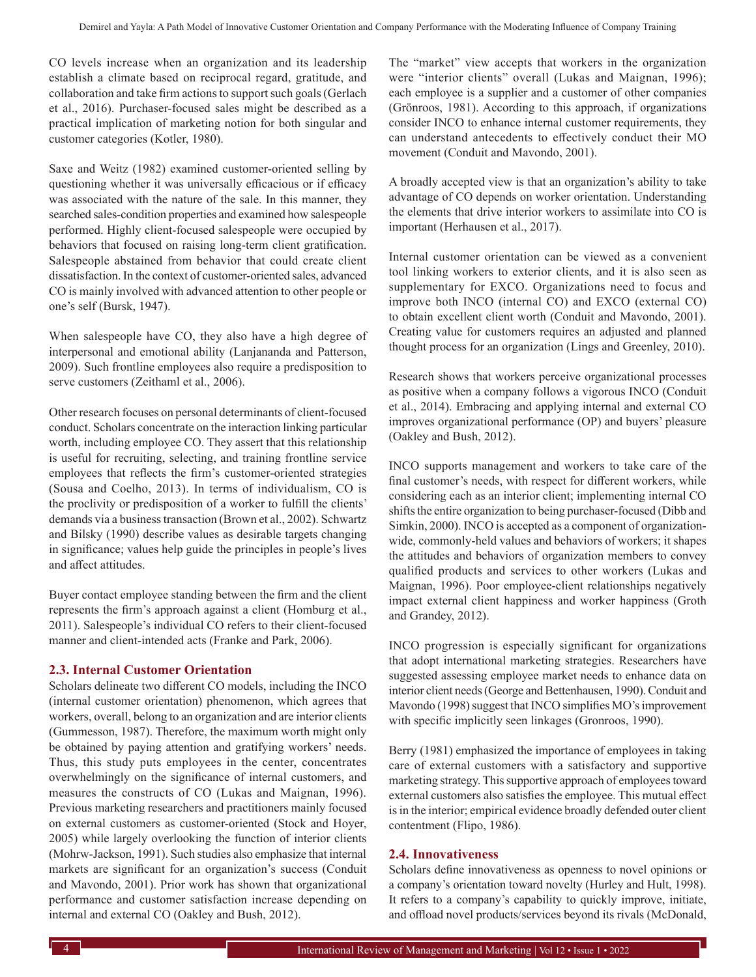CO levels increase when an organization and its leadership establish a climate based on reciprocal regard, gratitude, and collaboration and take firm actions to support such goals (Gerlach et al., 2016). Purchaser-focused sales might be described as a practical implication of marketing notion for both singular and customer categories (Kotler, 1980).

Saxe and Weitz (1982) examined customer-oriented selling by questioning whether it was universally efficacious or if efficacy was associated with the nature of the sale. In this manner, they searched sales-condition properties and examined how salespeople performed. Highly client-focused salespeople were occupied by behaviors that focused on raising long-term client gratification. Salespeople abstained from behavior that could create client dissatisfaction. In the context of customer-oriented sales, advanced CO is mainly involved with advanced attention to other people or one's self (Bursk, 1947).

When salespeople have CO, they also have a high degree of interpersonal and emotional ability (Lanjananda and Patterson, 2009). Such frontline employees also require a predisposition to serve customers (Zeithaml et al., 2006).

Other research focuses on personal determinants of client-focused conduct. Scholars concentrate on the interaction linking particular worth, including employee CO. They assert that this relationship is useful for recruiting, selecting, and training frontline service employees that reflects the firm's customer-oriented strategies (Sousa and Coelho, 2013). In terms of individualism, CO is the proclivity or predisposition of a worker to fulfill the clients' demands via a business transaction (Brown et al., 2002). Schwartz and Bilsky (1990) describe values as desirable targets changing in significance; values help guide the principles in people's lives and affect attitudes.

Buyer contact employee standing between the firm and the client represents the firm's approach against a client (Homburg et al., 2011). Salespeople's individual CO refers to their client-focused manner and client-intended acts (Franke and Park, 2006).

#### **2.3. Internal Customer Orientation**

Scholars delineate two different CO models, including the INCO (internal customer orientation) phenomenon, which agrees that workers, overall, belong to an organization and are interior clients (Gummesson, 1987). Therefore, the maximum worth might only be obtained by paying attention and gratifying workers' needs. Thus, this study puts employees in the center, concentrates overwhelmingly on the significance of internal customers, and measures the constructs of CO (Lukas and Maignan, 1996). Previous marketing researchers and practitioners mainly focused on external customers as customer-oriented (Stock and Hoyer, 2005) while largely overlooking the function of interior clients (Mohrw‐Jackson, 1991). Such studies also emphasize that internal markets are significant for an organization's success (Conduit and Mavondo, 2001). Prior work has shown that organizational performance and customer satisfaction increase depending on internal and external CO (Oakley and Bush, 2012).

The "market" view accepts that workers in the organization were "interior clients" overall (Lukas and Maignan, 1996); each employee is a supplier and a customer of other companies (Grönroos, 1981). According to this approach, if organizations consider INCO to enhance internal customer requirements, they can understand antecedents to effectively conduct their MO movement (Conduit and Mavondo, 2001).

A broadly accepted view is that an organization's ability to take advantage of CO depends on worker orientation. Understanding the elements that drive interior workers to assimilate into CO is important (Herhausen et al., 2017).

Internal customer orientation can be viewed as a convenient tool linking workers to exterior clients, and it is also seen as supplementary for EXCO. Organizations need to focus and improve both INCO (internal CO) and EXCO (external CO) to obtain excellent client worth (Conduit and Mavondo, 2001). Creating value for customers requires an adjusted and planned thought process for an organization (Lings and Greenley, 2010).

Research shows that workers perceive organizational processes as positive when a company follows a vigorous INCO (Conduit et al., 2014). Embracing and applying internal and external CO improves organizational performance (OP) and buyers' pleasure (Oakley and Bush, 2012).

INCO supports management and workers to take care of the final customer's needs, with respect for different workers, while considering each as an interior client; implementing internal CO shifts the entire organization to being purchaser-focused (Dibb and Simkin, 2000). INCO is accepted as a component of organizationwide, commonly-held values and behaviors of workers; it shapes the attitudes and behaviors of organization members to convey qualified products and services to other workers (Lukas and Maignan, 1996). Poor employee-client relationships negatively impact external client happiness and worker happiness (Groth and Grandey, 2012).

INCO progression is especially significant for organizations that adopt international marketing strategies. Researchers have suggested assessing employee market needs to enhance data on interior client needs (George and Bettenhausen, 1990). Conduit and Mavondo (1998) suggest that INCO simplifies MO's improvement with specific implicitly seen linkages (Gronroos, 1990).

Berry (1981) emphasized the importance of employees in taking care of external customers with a satisfactory and supportive marketing strategy. This supportive approach of employees toward external customers also satisfies the employee. This mutual effect is in the interior; empirical evidence broadly defended outer client contentment (Flipo, 1986).

#### **2.4. Innovativeness**

Scholars define innovativeness as openness to novel opinions or a company's orientation toward novelty (Hurley and Hult, 1998). It refers to a company's capability to quickly improve, initiate, and offload novel products/services beyond its rivals (McDonald,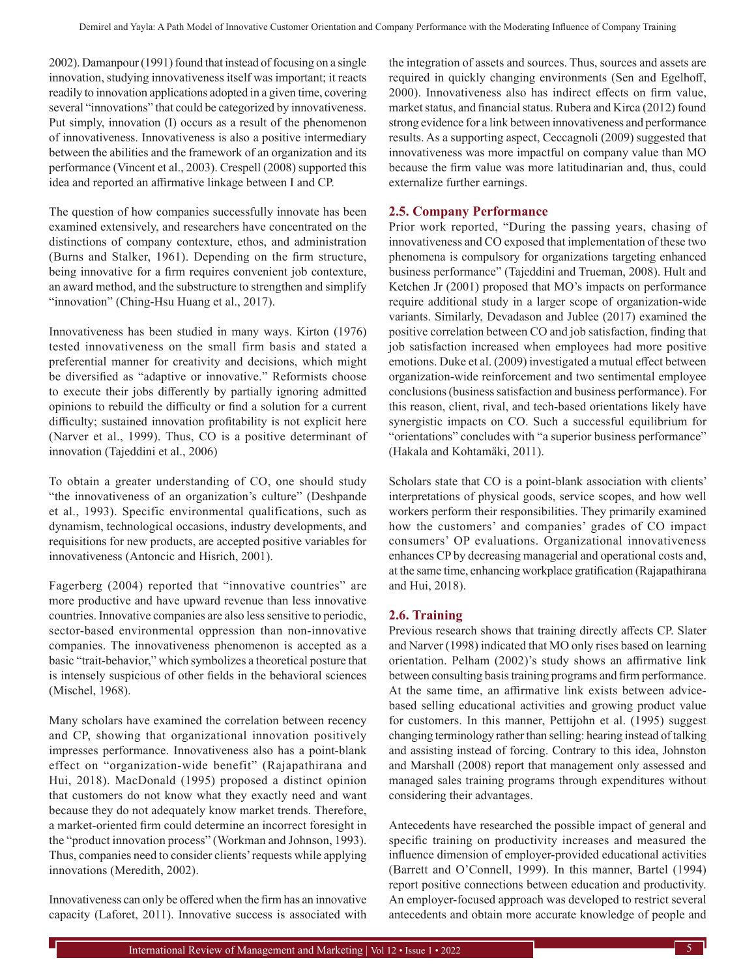2002). Damanpour (1991) found that instead of focusing on a single innovation, studying innovativeness itself was important; it reacts readily to innovation applications adopted in a given time, covering several "innovations" that could be categorized by innovativeness. Put simply, innovation (I) occurs as a result of the phenomenon of innovativeness. Innovativeness is also a positive intermediary between the abilities and the framework of an organization and its performance (Vincent et al., 2003). Crespell (2008) supported this idea and reported an affirmative linkage between I and CP.

The question of how companies successfully innovate has been examined extensively, and researchers have concentrated on the distinctions of company contexture, ethos, and administration (Burns and Stalker, 1961). Depending on the firm structure, being innovative for a firm requires convenient job contexture, an award method, and the substructure to strengthen and simplify "innovation" (Ching-Hsu Huang et al., 2017).

Innovativeness has been studied in many ways. Kirton (1976) tested innovativeness on the small firm basis and stated a preferential manner for creativity and decisions, which might be diversified as "adaptive or innovative." Reformists choose to execute their jobs differently by partially ignoring admitted opinions to rebuild the difficulty or find a solution for a current difficulty; sustained innovation profitability is not explicit here (Narver et al., 1999). Thus, CO is a positive determinant of innovation (Tajeddini et al., 2006)

To obtain a greater understanding of CO, one should study "the innovativeness of an organization's culture" (Deshpande et al., 1993). Specific environmental qualifications, such as dynamism, technological occasions, industry developments, and requisitions for new products, are accepted positive variables for innovativeness (Antoncic and Hisrich, 2001).

Fagerberg (2004) reported that "innovative countries" are more productive and have upward revenue than less innovative countries. Innovative companies are also less sensitive to periodic, sector-based environmental oppression than non-innovative companies. The innovativeness phenomenon is accepted as a basic "trait-behavior," which symbolizes a theoretical posture that is intensely suspicious of other fields in the behavioral sciences (Mischel, 1968).

Many scholars have examined the correlation between recency and CP, showing that organizational innovation positively impresses performance. Innovativeness also has a point-blank effect on "organization-wide benefit" (Rajapathirana and Hui, 2018). MacDonald (1995) proposed a distinct opinion that customers do not know what they exactly need and want because they do not adequately know market trends. Therefore, a market-oriented firm could determine an incorrect foresight in the "product innovation process" (Workman and Johnson, 1993). Thus, companies need to consider clients' requests while applying innovations (Meredith, 2002).

Innovativeness can only be offered when the firm has an innovative capacity (Laforet, 2011). Innovative success is associated with the integration of assets and sources. Thus, sources and assets are required in quickly changing environments (Sen and Egelhoff, 2000). Innovativeness also has indirect effects on firm value, market status, and financial status. Rubera and Kirca (2012) found strong evidence for a link between innovativeness and performance results. As a supporting aspect, Ceccagnoli (2009) suggested that innovativeness was more impactful on company value than MO because the firm value was more latitudinarian and, thus, could externalize further earnings.

## **2.5. Company Performance**

Prior work reported, "During the passing years, chasing of innovativeness and CO exposed that implementation of these two phenomena is compulsory for organizations targeting enhanced business performance" (Tajeddini and Trueman, 2008). Hult and Ketchen Jr (2001) proposed that MO's impacts on performance require additional study in a larger scope of organization-wide variants. Similarly, Devadason and Jublee (2017) examined the positive correlation between CO and job satisfaction, finding that job satisfaction increased when employees had more positive emotions. Duke et al. (2009) investigated a mutual effect between organization-wide reinforcement and two sentimental employee conclusions (business satisfaction and business performance). For this reason, client, rival, and tech-based orientations likely have synergistic impacts on CO. Such a successful equilibrium for "orientations" concludes with "a superior business performance" (Hakala and Kohtamäki, 2011).

Scholars state that CO is a point-blank association with clients' interpretations of physical goods, service scopes, and how well workers perform their responsibilities. They primarily examined how the customers' and companies' grades of CO impact consumers' OP evaluations. Organizational innovativeness enhances CP by decreasing managerial and operational costs and, at the same time, enhancing workplace gratification (Rajapathirana and Hui, 2018).

## **2.6. Training**

Previous research shows that training directly affects CP. Slater and Narver (1998) indicated that MO only rises based on learning orientation. Pelham (2002)'s study shows an affirmative link between consulting basis training programs and firm performance. At the same time, an affirmative link exists between advicebased selling educational activities and growing product value for customers. In this manner, Pettijohn et al. (1995) suggest changing terminology rather than selling: hearing instead of talking and assisting instead of forcing. Contrary to this idea, Johnston and Marshall (2008) report that management only assessed and managed sales training programs through expenditures without considering their advantages.

Antecedents have researched the possible impact of general and specific training on productivity increases and measured the influence dimension of employer-provided educational activities (Barrett and O'Connell, 1999). In this manner, Bartel (1994) report positive connections between education and productivity. An employer-focused approach was developed to restrict several antecedents and obtain more accurate knowledge of people and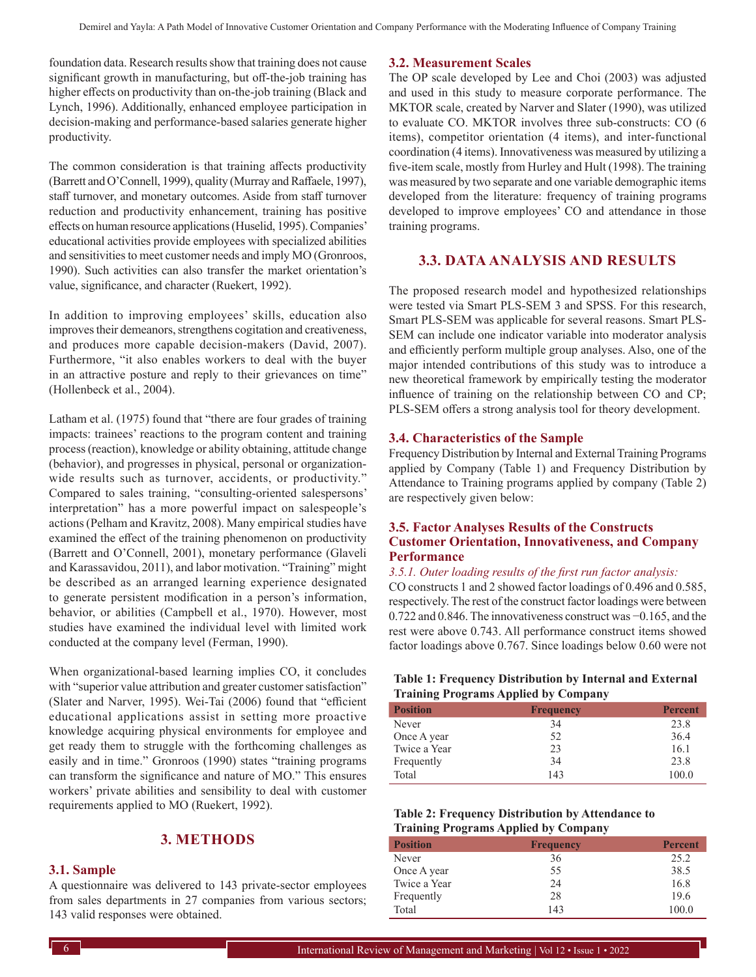foundation data. Research results show that training does not cause significant growth in manufacturing, but off-the-job training has higher effects on productivity than on-the-job training (Black and Lynch, 1996). Additionally, enhanced employee participation in decision-making and performance-based salaries generate higher productivity.

The common consideration is that training affects productivity (Barrett and O'Connell, 1999), quality (Murray and Raffaele, 1997), staff turnover, and monetary outcomes. Aside from staff turnover reduction and productivity enhancement, training has positive effects on human resource applications (Huselid, 1995). Companies' educational activities provide employees with specialized abilities and sensitivities to meet customer needs and imply MO (Gronroos, 1990). Such activities can also transfer the market orientation's value, significance, and character (Ruekert, 1992).

In addition to improving employees' skills, education also improves their demeanors, strengthens cogitation and creativeness, and produces more capable decision-makers (David, 2007). Furthermore, "it also enables workers to deal with the buyer in an attractive posture and reply to their grievances on time" (Hollenbeck et al., 2004).

Latham et al. (1975) found that "there are four grades of training impacts: trainees' reactions to the program content and training process (reaction), knowledge or ability obtaining, attitude change (behavior), and progresses in physical, personal or organizationwide results such as turnover, accidents, or productivity." Compared to sales training, "consulting-oriented salespersons' interpretation" has a more powerful impact on salespeople's actions (Pelham and Kravitz, 2008). Many empirical studies have examined the effect of the training phenomenon on productivity (Barrett and O'Connell, 2001), monetary performance (Glaveli and Karassavidou, 2011), and labor motivation. "Training" might be described as an arranged learning experience designated to generate persistent modification in a person's information, behavior, or abilities (Campbell et al., 1970). However, most studies have examined the individual level with limited work conducted at the company level (Ferman, 1990).

When organizational-based learning implies CO, it concludes with "superior value attribution and greater customer satisfaction" (Slater and Narver, 1995). Wei-Tai (2006) found that "efficient educational applications assist in setting more proactive knowledge acquiring physical environments for employee and get ready them to struggle with the forthcoming challenges as easily and in time." Gronroos (1990) states "training programs can transform the significance and nature of MO." This ensures workers' private abilities and sensibility to deal with customer requirements applied to MO (Ruekert, 1992).

## **3. METHODS**

#### **3.1. Sample**

A questionnaire was delivered to 143 private-sector employees from sales departments in 27 companies from various sectors; 143 valid responses were obtained.

#### **3.2. Measurement Scales**

The OP scale developed by Lee and Choi (2003) was adjusted and used in this study to measure corporate performance. The MKTOR scale, created by Narver and Slater (1990), was utilized to evaluate CO. MKTOR involves three sub-constructs: CO (6 items), competitor orientation (4 items), and inter-functional coordination (4 items). Innovativeness was measured by utilizing a five-item scale, mostly from Hurley and Hult (1998). The training was measured by two separate and one variable demographic items developed from the literature: frequency of training programs developed to improve employees' CO and attendance in those training programs.

## **3.3. DATA ANALYSIS AND RESULTS**

The proposed research model and hypothesized relationships were tested via Smart PLS-SEM 3 and SPSS. For this research, Smart PLS-SEM was applicable for several reasons. Smart PLS-SEM can include one indicator variable into moderator analysis and efficiently perform multiple group analyses. Also, one of the major intended contributions of this study was to introduce a new theoretical framework by empirically testing the moderator influence of training on the relationship between CO and CP; PLS-SEM offers a strong analysis tool for theory development.

#### **3.4. Characteristics of the Sample**

Frequency Distribution by Internal and External Training Programs applied by Company (Table 1) and Frequency Distribution by Attendance to Training programs applied by company (Table 2) are respectively given below:

## **3.5. Factor Analyses Results of the Constructs Customer Orientation, Innovativeness, and Company Performance**

#### *3.5.1. Outer loading results of the first run factor analysis:*

CO constructs 1 and 2 showed factor loadings of 0.496 and 0.585, respectively. The rest of the construct factor loadings were between 0.722 and 0.846. The innovativeness construct was −0.165, and the rest were above 0.743. All performance construct items showed factor loadings above 0.767. Since loadings below 0.60 were not

#### **Table 1: Frequency Distribution by Internal and External Training Programs Applied by Company**

| <b>Position</b> | <b>Frequency</b> | <b>Percent</b> |
|-----------------|------------------|----------------|
| Never           | 34               | 23.8           |
| Once A year     | 52               | 36.4           |
| Twice a Year    | 23               | 16.1           |
| Frequently      | 34               | 23.8           |
| Total           | 143              | 100.0          |

#### **Table 2: Frequency Distribution by Attendance to Training Programs Applied by Company**

|                 | . .              |                |
|-----------------|------------------|----------------|
| <b>Position</b> | <b>Frequency</b> | <b>Percent</b> |
| Never           | 36               | 25.2           |
| Once A year     | 55               | 38.5           |
| Twice a Year    | 24               | 16.8           |
| Frequently      | 28               | 19.6           |
| Total           | 143              | 100.0          |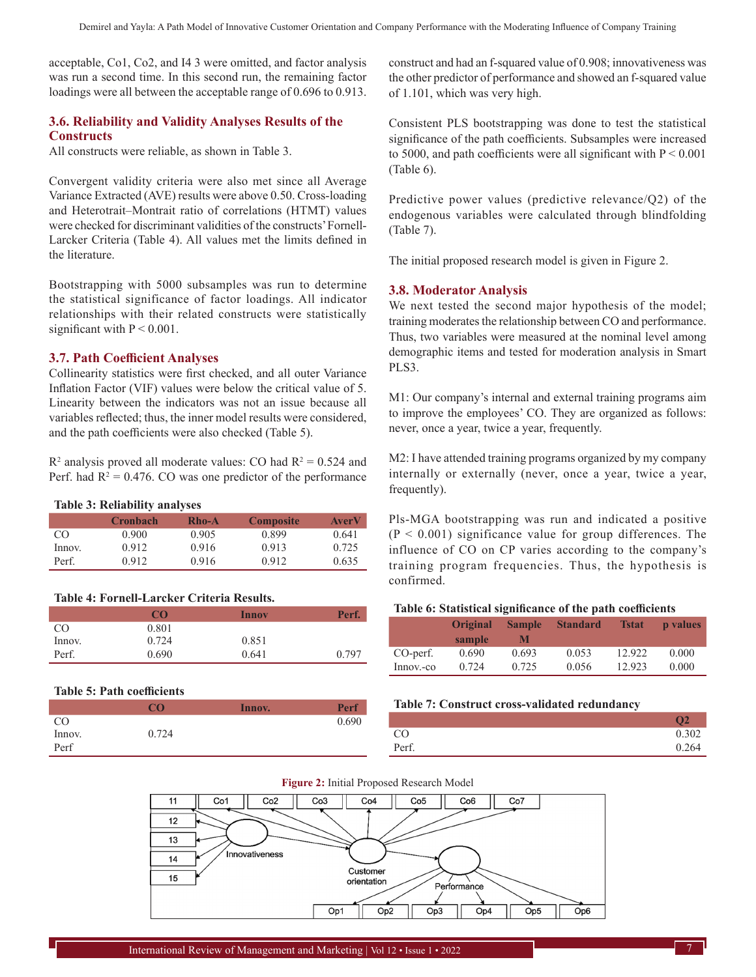acceptable, Co1, Co2, and I4 3 were omitted, and factor analysis was run a second time. In this second run, the remaining factor loadings were all between the acceptable range of 0.696 to 0.913.

## **3.6. Reliability and Validity Analyses Results of the Constructs**

All constructs were reliable, as shown in Table 3.

Convergent validity criteria were also met since all Average Variance Extracted (AVE) results were above 0.50. Cross-loading and Heterotrait-Montrait ratio of correlations (HTMT) values were checked for discriminant validities of the constructs' Fornell-Larcker Criteria (Table 4). All values met the limits defined in the literature.

Bootstrapping with 5000 subsamples was run to determine the statistical significance of factor loadings. All indicator relationships with their related constructs were statistically significant with  $P < 0.001$ .

#### **3.7. Path Coefficient Analyses**

Collinearity statistics were first checked, and all outer Variance Inflation Factor (VIF) values were below the critical value of 5. Linearity between the indicators was not an issue because all variables reflected; thus, the inner model results were considered, and the path coefficients were also checked (Table 5).

 $R<sup>2</sup>$  analysis proved all moderate values: CO had  $R<sup>2</sup> = 0.524$  and Perf. had  $R^2 = 0.476$ . CO was one predictor of the performance

#### **Table 3: Reliability analyses**

|        | <b>Cronbach</b> | <b>Rho-A</b> | <b>Composite</b> | <b>AverV</b> |
|--------|-----------------|--------------|------------------|--------------|
| CO     | 0.900           | 0.905        | 0.899            | 0.641        |
| Innov. | 0.912           | 0.916        | 0.913            | 0.725        |
| Perf.  | 0.912           | 0.916        | 0.912            | 0.635        |

#### **Table 4: Fornell-Larcker Criteria Results.**

|        | CO    | Innov | Perf. |
|--------|-------|-------|-------|
| CO.    | 0.801 |       |       |
| Innov. | 0.724 | 0.851 |       |
| Perf.  | 0.690 | 0.641 | 0.797 |

#### **Table 5: Path coefficients**

|               | $\alpha$ | Innov. | Perf  |
|---------------|----------|--------|-------|
| <sub>CO</sub> |          |        | 0.690 |
| Innov.        | 0.724    |        |       |
| Perf          |          |        |       |

construct and had an f-squared value of 0.908; innovativeness was the other predictor of performance and showed an f-squared value of 1.101, which was very high.

Consistent PLS bootstrapping was done to test the statistical significance of the path coefficients. Subsamples were increased to 5000, and path coefficients were all significant with  $P < 0.001$ (Table 6).

Predictive power values (predictive relevance/Q2) of the endogenous variables were calculated through blindfolding (Table 7).

The initial proposed research model is given in Figure 2.

#### **3.8. Moderator Analysis**

We next tested the second major hypothesis of the model; training moderates the relationship between CO and performance. Thus, two variables were measured at the nominal level among demographic items and tested for moderation analysis in Smart PLS3.

M1: Our company's internal and external training programs aim to improve the employees' CO. They are organized as follows: never, once a year, twice a year, frequently.

M2: I have attended training programs organized by my company internally or externally (never, once a year, twice a year, frequently).

Pls-MGA bootstrapping was run and indicated a positive  $(P < 0.001)$  significance value for group differences. The influence of CO on CP varies according to the company's training program frequencies. Thus, the hypothesis is confirmed.

#### **Table 6: Statistical significance of the path coefficients**

|           | <b>Original</b><br>sample | <b>Sample</b><br>M | <b>Standard</b> | <b>Tstat</b> | <b>p</b> values |
|-----------|---------------------------|--------------------|-----------------|--------------|-----------------|
| CO-perf.  | 0.690                     | 0.693              | 0.053           | 12.922       | 0.000           |
| Innov.-co | 0.724                     | 0.725              | 0.056           | 12.923       | 0.000           |

#### **Table 7: Construct cross-validated redundancy**

|       | $\Omega$ |
|-------|----------|
| CO    | 0.302    |
| Perf. | 0.264    |



**Figure 2:** Initial Proposed Research Model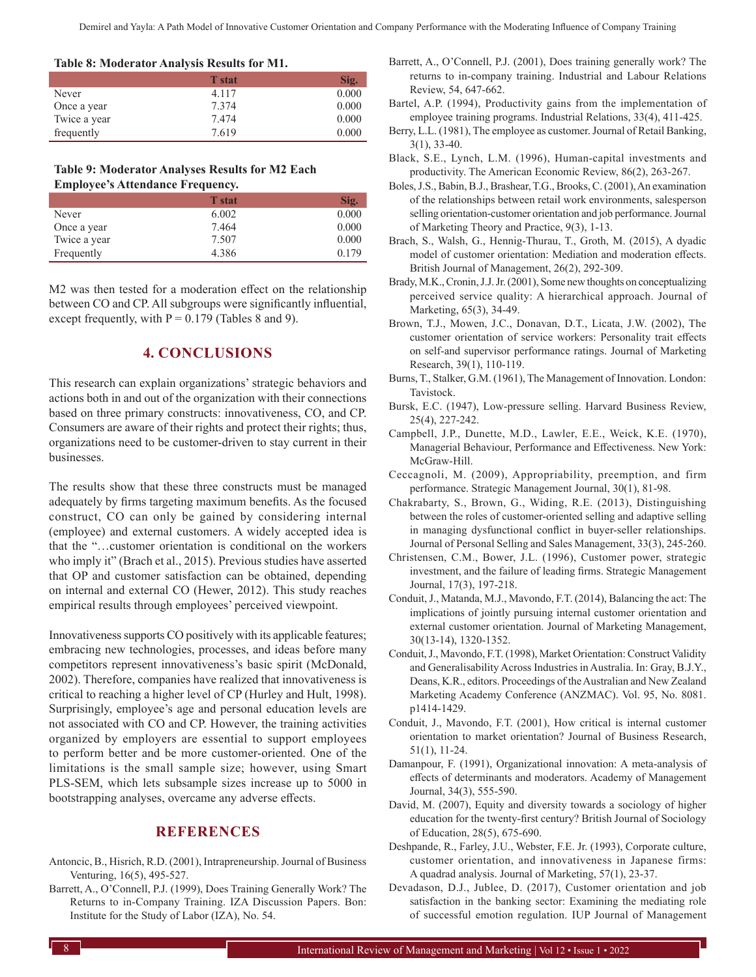**Table 8: Moderator Analysis Results for M1.**

|              | <b>T</b> stat | Sig.  |
|--------------|---------------|-------|
| Never        | 4.117         | 0.000 |
| Once a year  | 7.374         | 0.000 |
| Twice a year | 7.474         | 0.000 |
| frequently   | 7.619         | 0.000 |

**Table 9: Moderator Analyses Results for M2 Each Employee's Attendance Frequency.**

|              | <b>T</b> stat | Sig.  |
|--------------|---------------|-------|
| Never        | 6.002         | 0.000 |
| Once a year  | 7.464         | 0.000 |
| Twice a year | 7.507         | 0.000 |
| Frequently   | 4.386         | 0.179 |

M2 was then tested for a moderation effect on the relationship between CO and CP. All subgroups were significantly influential, except frequently, with  $P = 0.179$  (Tables 8 and 9).

## **4. CONCLUSIONS**

This research can explain organizations' strategic behaviors and actions both in and out of the organization with their connections based on three primary constructs: innovativeness, CO, and CP. Consumers are aware of their rights and protect their rights; thus, organizations need to be customer-driven to stay current in their businesses.

The results show that these three constructs must be managed adequately by firms targeting maximum benefits. As the focused construct, CO can only be gained by considering internal (employee) and external customers. A widely accepted idea is that the "…customer orientation is conditional on the workers who imply it" (Brach et al., 2015). Previous studies have asserted that OP and customer satisfaction can be obtained, depending on internal and external CO (Hewer, 2012). This study reaches empirical results through employees' perceived viewpoint.

Innovativeness supports CO positively with its applicable features; embracing new technologies, processes, and ideas before many competitors represent innovativeness's basic spirit (McDonald, 2002). Therefore, companies have realized that innovativeness is critical to reaching a higher level of CP (Hurley and Hult, 1998). Surprisingly, employee's age and personal education levels are not associated with CO and CP. However, the training activities organized by employers are essential to support employees to perform better and be more customer-oriented. One of the limitations is the small sample size; however, using Smart PLS-SEM, which lets subsample sizes increase up to 5000 in bootstrapping analyses, overcame any adverse effects.

#### **REFERENCES**

- Antoncic, B., Hisrich, R.D. (2001), Intrapreneurship. Journal of Business Venturing, 16(5), 495-527.
- Barrett, A., O'Connell, P.J. (1999), Does Training Generally Work? The Returns to in-Company Training. IZA Discussion Papers. Bon: Institute for the Study of Labor (IZA), No. 54.
- Barrett, A., O'Connell, P.J. (2001), Does training generally work? The returns to in-company training. Industrial and Labour Relations Review, 54, 647-662.
- Bartel, A.P. (1994), Productivity gains from the implementation of employee training programs. Industrial Relations, 33(4), 411-425.
- Berry, L.L. (1981), The employee as customer. Journal of Retail Banking, 3(1), 33-40.
- Black, S.E., Lynch, L.M. (1996), Human-capital investments and productivity. The American Economic Review, 86(2), 263-267.
- Boles, J.S., Babin, B.J., Brashear, T.G., Brooks, C. (2001), An examination of the relationships between retail work environments, salesperson selling orientation-customer orientation and job performance. Journal of Marketing Theory and Practice, 9(3), 1-13.
- Brach, S., Walsh, G., Hennig‐Thurau, T., Groth, M. (2015), A dyadic model of customer orientation: Mediation and moderation effects. British Journal of Management, 26(2), 292-309.
- Brady, M.K., Cronin, J.J. Jr. (2001), Some new thoughts on conceptualizing perceived service quality: A hierarchical approach. Journal of Marketing, 65(3), 34-49.
- Brown, T.J., Mowen, J.C., Donavan, D.T., Licata, J.W. (2002), The customer orientation of service workers: Personality trait effects on self-and supervisor performance ratings. Journal of Marketing Research, 39(1), 110-119.
- Burns, T., Stalker, G.M. (1961), The Management of Innovation. London: Tavistock.
- Bursk, E.C. (1947), Low-pressure selling. Harvard Business Review, 25(4), 227-242.
- Campbell, J.P., Dunette, M.D., Lawler, E.E., Weick, K.E. (1970), Managerial Behaviour, Performance and Effectiveness. New York: McGraw-Hill.
- Ceccagnoli, M. (2009), Appropriability, preemption, and firm performance. Strategic Management Journal, 30(1), 81-98.
- Chakrabarty, S., Brown, G., Widing, R.E. (2013), Distinguishing between the roles of customer-oriented selling and adaptive selling in managing dysfunctional conflict in buyer-seller relationships. Journal of Personal Selling and Sales Management, 33(3), 245-260.
- Christensen, C.M., Bower, J.L. (1996), Customer power, strategic investment, and the failure of leading firms. Strategic Management Journal, 17(3), 197-218.
- Conduit, J., Matanda, M.J., Mavondo, F.T. (2014), Balancing the act: The implications of jointly pursuing internal customer orientation and external customer orientation. Journal of Marketing Management, 30(13-14), 1320-1352.
- Conduit, J., Mavondo, F.T. (1998), Market Orientation: Construct Validity and Generalisability Across Industries in Australia. In: Gray, B.J.Y., Deans, K.R., editors. Proceedings of the Australian and New Zealand Marketing Academy Conference (ANZMAC). Vol. 95, No. 8081. p1414-1429.
- Conduit, J., Mavondo, F.T. (2001), How critical is internal customer orientation to market orientation? Journal of Business Research, 51(1), 11-24.
- Damanpour, F. (1991), Organizational innovation: A meta-analysis of effects of determinants and moderators. Academy of Management Journal, 34(3), 555-590.
- David, M. (2007), Equity and diversity towards a sociology of higher education for the twenty-first century? British Journal of Sociology of Education, 28(5), 675-690.
- Deshpande, R., Farley, J.U., Webster, F.E. Jr. (1993), Corporate culture, customer orientation, and innovativeness in Japanese firms: A quadrad analysis. Journal of Marketing, 57(1), 23-37.
- Devadason, D.J., Jublee, D. (2017), Customer orientation and job satisfaction in the banking sector: Examining the mediating role of successful emotion regulation. IUP Journal of Management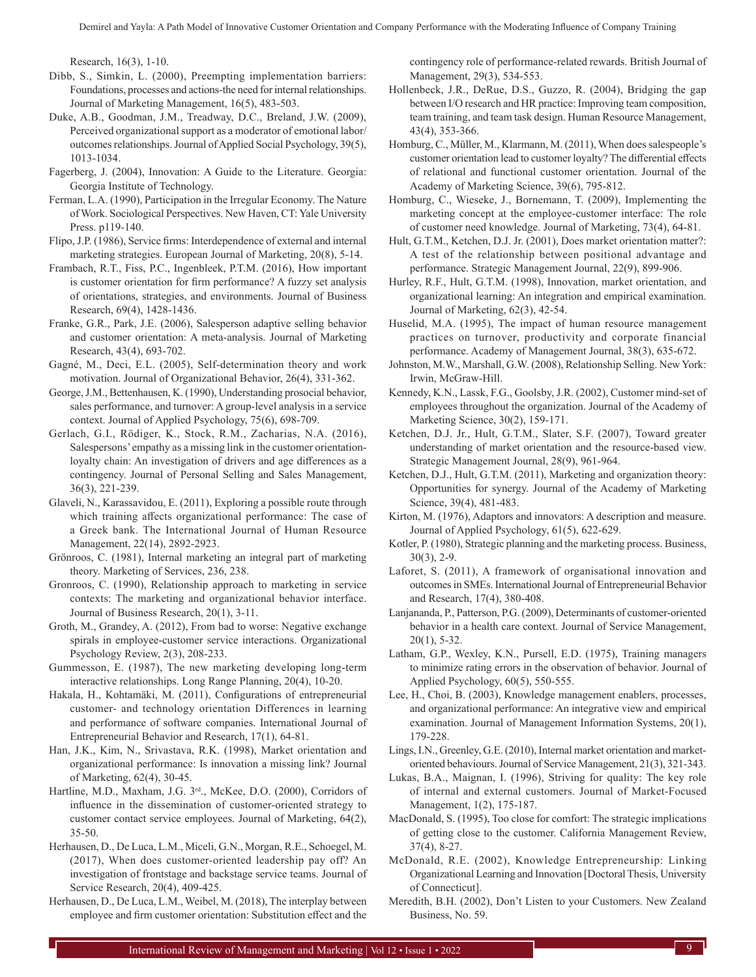Research, 16(3), 1-10.

- Dibb, S., Simkin, L. (2000), Preempting implementation barriers: Foundations, processes and actions-the need for internal relationships. Journal of Marketing Management, 16(5), 483-503.
- Duke, A.B., Goodman, J.M., Treadway, D.C., Breland, J.W. (2009), Perceived organizational support as a moderator of emotional labor/ outcomes relationships. Journal of Applied Social Psychology, 39(5), 1013-1034.
- Fagerberg, J. (2004), Innovation: A Guide to the Literature. Georgia: Georgia Institute of Technology.
- Ferman, L.A. (1990), Participation in the Irregular Economy. The Nature of Work. Sociological Perspectives. New Haven, CT: Yale University Press. p119-140.
- Flipo, J.P. (1986), Service firms: Interdependence of external and internal marketing strategies. European Journal of Marketing, 20(8), 5-14.
- Frambach, R.T., Fiss, P.C., Ingenbleek, P.T.M. (2016), How important is customer orientation for firm performance? A fuzzy set analysis of orientations, strategies, and environments. Journal of Business Research, 69(4), 1428-1436.
- Franke, G.R., Park, J.E. (2006), Salesperson adaptive selling behavior and customer orientation: A meta-analysis. Journal of Marketing Research, 43(4), 693-702.
- Gagné, M., Deci, E.L. (2005), Self-determination theory and work motivation. Journal of Organizational Behavior, 26(4), 331-362.
- George, J.M., Bettenhausen, K. (1990), Understanding prosocial behavior, sales performance, and turnover: A group-level analysis in a service context. Journal of Applied Psychology, 75(6), 698-709.
- Gerlach, G.I., Rödiger, K., Stock, R.M., Zacharias, N.A. (2016), Salespersons' empathy as a missing link in the customer orientationloyalty chain: An investigation of drivers and age differences as a contingency. Journal of Personal Selling and Sales Management, 36(3), 221-239.
- Glaveli, N., Karassavidou, E. (2011), Exploring a possible route through which training affects organizational performance: The case of a Greek bank. The International Journal of Human Resource Management, 22(14), 2892-2923.
- Grönroos, C. (1981), Internal marketing an integral part of marketing theory. Marketing of Services, 236, 238.
- Gronroos, C. (1990), Relationship approach to marketing in service contexts: The marketing and organizational behavior interface. Journal of Business Research, 20(1), 3-11.
- Groth, M., Grandey, A. (2012), From bad to worse: Negative exchange spirals in employee-customer service interactions. Organizational Psychology Review, 2(3), 208-233.
- Gummesson, E. (1987), The new marketing developing long-term interactive relationships. Long Range Planning, 20(4), 10-20.
- Hakala, H., Kohtamäki, M. (2011), Configurations of entrepreneurial customer- and technology orientation Differences in learning and performance of software companies. International Journal of Entrepreneurial Behavior and Research, 17(1), 64-81.
- Han, J.K., Kim, N., Srivastava, R.K. (1998), Market orientation and organizational performance: Is innovation a missing link? Journal of Marketing, 62(4), 30-45.
- Hartline, M.D., Maxham, J.G. 3<sup>rd</sup>., McKee, D.O. (2000), Corridors of influence in the dissemination of customer-oriented strategy to customer contact service employees. Journal of Marketing, 64(2), 35-50.
- Herhausen, D., De Luca, L.M., Miceli, G.N., Morgan, R.E., Schoegel, M. (2017), When does customer-oriented leadership pay off? An investigation of frontstage and backstage service teams. Journal of Service Research, 20(4), 409-425.
- Herhausen, D., De Luca, L.M., Weibel, M. (2018), The interplay between employee and firm customer orientation: Substitution effect and the

contingency role of performance‐related rewards. British Journal of Management, 29(3), 534-553.

- Hollenbeck, J.R., DeRue, D.S., Guzzo, R. (2004), Bridging the gap between I/O research and HR practice: Improving team composition, team training, and team task design. Human Resource Management, 43(4), 353-366.
- Homburg, C., Müller, M., Klarmann, M. (2011), When does salespeople's customer orientation lead to customer loyalty? The differential effects of relational and functional customer orientation. Journal of the Academy of Marketing Science, 39(6), 795-812.
- Homburg, C., Wieseke, J., Bornemann, T. (2009), Implementing the marketing concept at the employee-customer interface: The role of customer need knowledge. Journal of Marketing, 73(4), 64-81.
- Hult, G.T.M., Ketchen, D.J. Jr. (2001), Does market orientation matter?: A test of the relationship between positional advantage and performance. Strategic Management Journal, 22(9), 899-906.
- Hurley, R.F., Hult, G.T.M. (1998), Innovation, market orientation, and organizational learning: An integration and empirical examination. Journal of Marketing, 62(3), 42-54.
- Huselid, M.A. (1995), The impact of human resource management practices on turnover, productivity and corporate financial performance. Academy of Management Journal, 38(3), 635-672.
- Johnston, M.W., Marshall, G.W. (2008), Relationship Selling. NewYork: Irwin, McGraw-Hill.
- Kennedy, K.N., Lassk, F.G., Goolsby, J.R. (2002), Customer mind-set of employees throughout the organization. Journal of the Academy of Marketing Science, 30(2), 159-171.
- Ketchen, D.J. Jr., Hult, G.T.M., Slater, S.F. (2007), Toward greater understanding of market orientation and the resource‐based view. Strategic Management Journal, 28(9), 961-964.
- Ketchen, D.J., Hult, G.T.M. (2011), Marketing and organization theory: Opportunities for synergy. Journal of the Academy of Marketing Science, 39(4), 481-483.
- Kirton, M. (1976), Adaptors and innovators: A description and measure. Journal of Applied Psychology, 61(5), 622-629.
- Kotler, P. (1980), Strategic planning and the marketing process. Business, 30(3), 2-9.
- Laforet, S. (2011), A framework of organisational innovation and outcomes in SMEs. International Journal of Entrepreneurial Behavior and Research, 17(4), 380-408.
- Lanjananda, P., Patterson, P.G. (2009), Determinants of customer-oriented behavior in a health care context. Journal of Service Management, 20(1), 5-32.
- Latham, G.P., Wexley, K.N., Pursell, E.D. (1975), Training managers to minimize rating errors in the observation of behavior. Journal of Applied Psychology, 60(5), 550-555.
- Lee, H., Choi, B. (2003), Knowledge management enablers, processes, and organizational performance: An integrative view and empirical examination. Journal of Management Information Systems, 20(1), 179-228.
- Lings, I.N., Greenley, G.E. (2010), Internal market orientation and marketoriented behaviours. Journal of Service Management, 21(3), 321-343.
- Lukas, B.A., Maignan, I. (1996), Striving for quality: The key role of internal and external customers. Journal of Market-Focused Management, 1(2), 175-187.
- MacDonald, S. (1995), Too close for comfort: The strategic implications of getting close to the customer. California Management Review, 37(4), 8-27.
- McDonald, R.E. (2002), Knowledge Entrepreneurship: Linking Organizational Learning and Innovation [Doctoral Thesis, University of Connecticut].
- Meredith, B.H. (2002), Don't Listen to your Customers. New Zealand Business, No. 59.